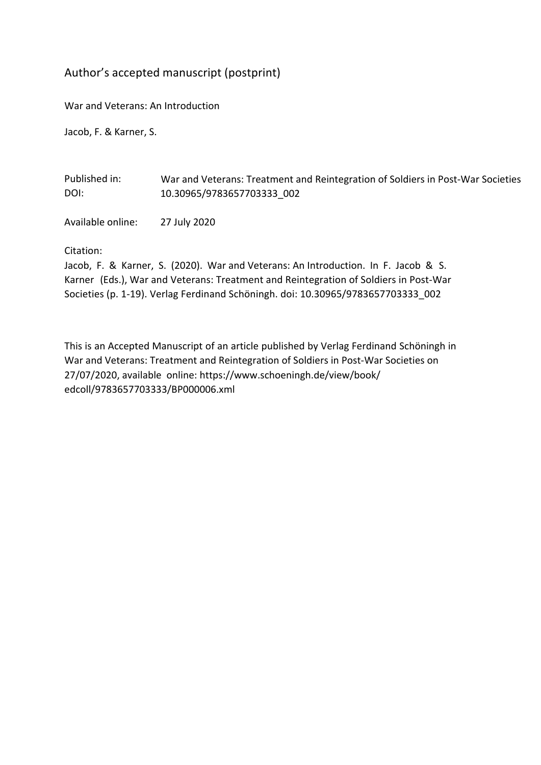## Author's accepted manuscript (postprint)

War and Veterans: An Introduction

Jacob, F. & Karner, S.

Published in: DOI: War and Veterans: Treatment and Reintegration of Soldiers in Post-War Societies 10.30965/9783657703333\_002

Available online: 27 July 2020

Citation:

Jacob, F. & Karner, S. (2020). War and Veterans: An Introduction. In F. Jacob & S. Karner (Eds.), War and Veterans: Treatment and Reintegration of Soldiers in Post-War Societies (p. 1-19). Verlag Ferdinand Schöningh. doi: 10.30965/9783657703333\_002

This is an Accepted Manuscript of an article published by Verlag Ferdinand Schöningh in [War and Veterans: Treatment and Reintegration of Soldiers in Post-War Societies](https://www.schoeningh.de/view/book/edcoll/9783657702923/BP000006.xml) on 27/07/2020, available online: https://www.schoeningh.de/view/book/ edcoll/9783657703333/BP000006.xml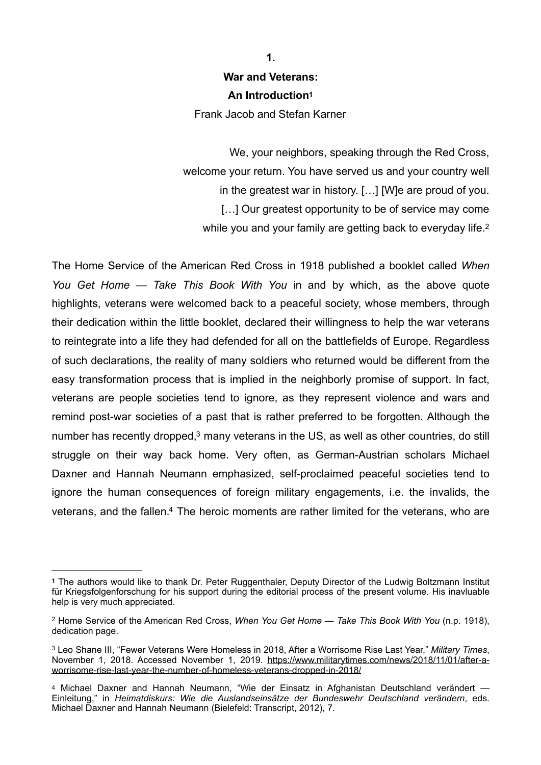## **War and Veterans: An Introductio[n1](#page-1-0)**

Frank Jacob and Stefan Karner

We, your neighbors, speaking through the Red Cross, welcome your return. You have served us and your country well in the greatest war in history. […] [W]e are proud of you. [...] Our greatest opportunity to be of service may come while you and your family are getting back to everyday life.<sup>2</sup>

The Home Service of the American Red Cross in 1918 published a booklet called *When You Get Home — Take This Book With You* in and by which, as the above quote highlights, veterans were welcomed back to a peaceful society, whose members, through their dedication within the little booklet, declared their willingness to help the war veterans to reintegrate into a life they had defended for all on the battlefields of Europe. Regardless of such declarations, the reality of many soldiers who returned would be different from the easy transformation process that is implied in the neighborly promise of support. In fact, veterans are people societies tend to ignore, as they represent violence and wars and remind post-war societies of a past that is rather preferred to be forgotten. Although the number has recently dropped, $3$  many veterans in the US[,](#page-1-2) as well as other countries, do still struggle on their way back home. Very often, as German-Austrian scholars Michael Daxner and Hannah Neumann emphasized, self-proclaimed peaceful societies tend to ignore the human consequences of foreign military engagements, i.e. the invalids, the veterans, and the fallen[.](#page-1-3)<sup>[4](#page-1-3)</sup> The heroic moments are rather limited for the veterans, who are

<span id="page-1-5"></span><span id="page-1-4"></span>**1.** 

<span id="page-1-7"></span><span id="page-1-6"></span><span id="page-1-0"></span>The authors would like to thank Dr. Peter Ruggenthaler, Deputy Director of the Ludwig Boltzmann Institut **[1](#page-1-4)** für Kriegsfolgenforschung for his support during the editorial process of the present volume. His inavluable help is very much appreciated.

<span id="page-1-1"></span><sup>&</sup>lt;sup>[2](#page-1-5)</sup> Home Service of the American Red Cross, *When You Get Home — Take This Book With You* (n.p. 1918), dedication page.

<span id="page-1-2"></span>Leo Shane III, "Fewer Veterans Were Homeless in 2018, After a Worrisome Rise Last Year," *Military Times*, [3](#page-1-6) November 1, 2018. Accessed November 1, 2019. [https://www.militarytimes.com/news/2018/11/01/after-a](https://www.militarytimes.com/news/2018/11/01/after-a-worrisome-rise-last-year-the-number-of-homeless-veterans-dropped-in-2018/)[worrisome-rise-last-year-the-number-of-homeless-veterans-dropped-in-2018/](https://www.militarytimes.com/news/2018/11/01/after-a-worrisome-rise-last-year-the-number-of-homeless-veterans-dropped-in-2018/)

<span id="page-1-3"></span>[<sup>4</sup>](#page-1-7) Michael Daxner and Hannah Neumann, "Wie der Einsatz in Afghanistan Deutschland verändert -Einleitung," in *Heimatdiskurs: Wie die Auslandseinsätze der Bundeswehr Deutschland verändern*, eds. Michael Daxner and Hannah Neumann (Bielefeld: Transcript, 2012), 7.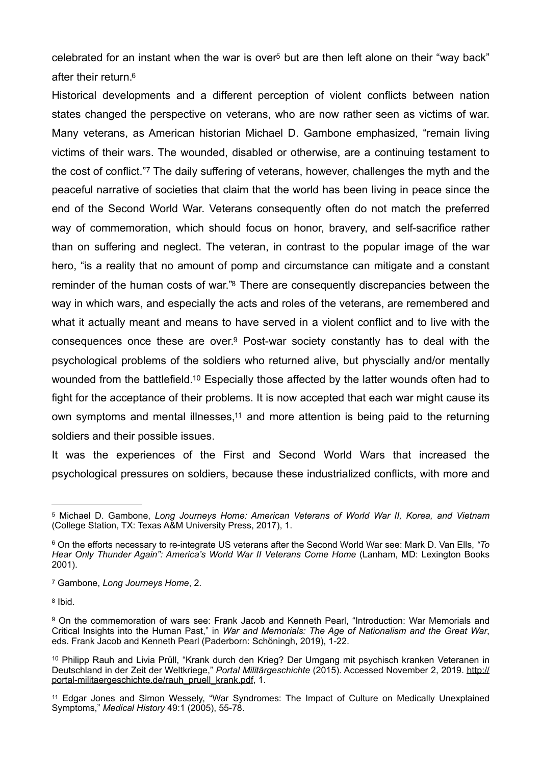<span id="page-2-8"></span><span id="page-2-7"></span>celebrated fo[r](#page-2-0) an instant when the war is over<sup>[5](#page-2-0)</sup> but are then left alone on their "way back" after their return[.](#page-2-1) [6](#page-2-1)

<span id="page-2-9"></span>Historical developments and a different perception of violent conflicts between nation states changed the perspective on veterans, who are now rather seen as victims of war. Many veterans, as American historian Michael D. Gambone emphasized, "remain living victims of their wars. The wounded, disabled or otherwise, are a continuing testament to the cost of conflict." The daily suffering of veterans, however, challenges the myth and the peaceful narrative of societies that claim that the world has been living in peace since the end of the Second World War. Veterans consequently often do not match the preferred way of commemoration, which should focus on honor, bravery, and self-sacrifice rather than on suffering and neglect. The veteran, in contrast to the popular image of the war hero, "is a reality that no amount of pomp and circumstance can mitigate and a constant reminder of the human costs of war.["](#page-2-3)<sup>[8](#page-2-3)</sup> There are consequently discrepancies between the way in which wars, and especially the acts and roles of the veterans, are remembered and what it actually meant and means to have served in a violent conflict and to live with the consequences once these are over[.](#page-2-4) $9$  Post-war society constantly has to deal with the psychological problems of the soldiers who returned alive, but physcially and/or mentally wounded from the battlefield[.](#page-2-5)<sup>[10](#page-2-5)</sup> Especially those affected by the latter wounds often had to fight for the acceptance of their problems. It is now accepted that each war might cause its own symptoms and mental illnesses,<sup> $11$ </sup> and more attention is being paid to the returning soldiers and their possible issues.

<span id="page-2-13"></span><span id="page-2-12"></span><span id="page-2-11"></span><span id="page-2-10"></span>It was the experiences of the First and Second World Wars that increased the psychological pressures on soldiers, because these industrialized conflicts, with more and

<span id="page-2-3"></span>[8](#page-2-10) Ibid.

<span id="page-2-0"></span>[<sup>5</sup>](#page-2-7) Michael D. Gambone, *Long Journeys Home: American Veterans of World War II, Korea, and Vietnam* (College Station, TX: Texas A&M University Press, 2017), 1.

<span id="page-2-1"></span>On the efforts necessary to re-integrate US veterans after the Second World War see: Mark D. Van Ells, *"To* [6](#page-2-8) *Hear Only Thunder Again": America's World War II Veterans Come Home* (Lanham, MD: Lexington Books 2001).

<span id="page-2-2"></span>Gambone, *Long Journeys Home*, 2. [7](#page-2-9)

<span id="page-2-4"></span><sup>&</sup>lt;sup>[9](#page-2-11)</sup> On the commemoration of wars see: Frank Jacob and Kenneth Pearl, "Introduction: War Memorials and Critical Insights into the Human Past," in *War and Memorials: The Age of Nationalism and the Great War*, eds. Frank Jacob and Kenneth Pearl (Paderborn: Schöningh, 2019), 1-22.

<span id="page-2-5"></span><sup>&</sup>lt;sup>[10](#page-2-12)</sup> Philipp Rauh and Livia Prüll, "Krank durch den Krieg? Der Umgang mit psychisch kranken Veteranen in Deutschland in der Zeit der Weltkriege," *Portal Militärgeschichte* (2015). Accessed November 2, 2019. [http://](http://portal-militaergeschichte.de/rauh_pruell_krank.pdf) [portal-militaergeschichte.de/rauh\\_pruell\\_krank.pdf](http://portal-militaergeschichte.de/rauh_pruell_krank.pdf), 1.

<span id="page-2-6"></span>Edgar Jones and Simon Wessely, "War Syndromes: The Impact of Culture on Medically Unexplained [11](#page-2-13) Symptoms," *Medical History* 49:1 (2005), 55-78.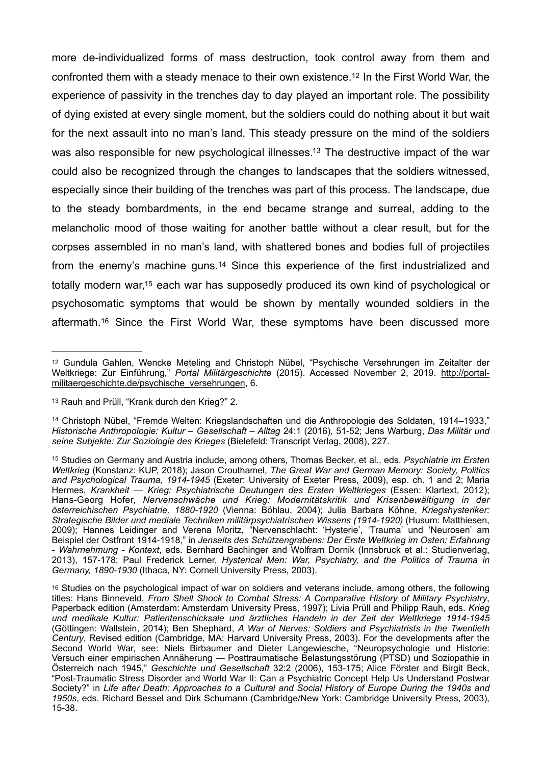<span id="page-3-6"></span><span id="page-3-5"></span>more de-individualized forms of mass destruction, took control away from them and confronted them with a steady menace to their own existence[.](#page-3-0)<sup>[12](#page-3-0)</sup> In the First World War, the experience of passivity in the trenches day to day played an important role. The possibility of dying existed at every single moment, but the soldiers could do nothing about it but wait for the next assault into no man's land. This steady pressure on the mind of the soldiers was also responsible for new psychological illnesses[.](#page-3-1)<sup>[13](#page-3-1)</sup> The destructive impact of the war could also be recognized through the changes to landscapes that the soldiers witnessed, especially since their building of the trenches was part of this process. The landscape, due to the steady bombardments, in the end became strange and surreal, adding to the melancholic mood of those waiting for another battle without a clear result, but for the corpses assembled in no man's land, with shattered bones and bodies full of projectiles from the enemy's machine guns.<sup>[14](#page-3-2)</sup> Since this experience of the first industrialized and totally modern war[,](#page-3-3)<sup>[15](#page-3-3)</sup> each war has supposedly produced its own kind of psychological or psychosomatic symptoms that would be shown by mentally wounded soldiers in the aftermath.<sup>[16](#page-3-4)</sup> Since the First World War, these symptoms have been discussed more

<span id="page-3-9"></span><span id="page-3-8"></span><span id="page-3-7"></span><span id="page-3-0"></span><sup>&</sup>lt;sup>[12](#page-3-5)</sup> Gundula Gahlen, Wencke Meteling and Christoph Nübel, "Psychische Versehrungen im Zeitalter der Weltkriege: Zur Einführung," *Portal Militärgeschichte* (2015). Accessed November 2, 2019. [http://portal](http://portal-militaergeschichte.de/psychische_versehrungen)[militaergeschichte.de/psychische\\_versehrungen,](http://portal-militaergeschichte.de/psychische_versehrungen) 6.

<span id="page-3-1"></span>[<sup>13</sup>](#page-3-6) Rauh and Prüll, "Krank durch den Krieg?" 2.

<span id="page-3-2"></span><sup>&</sup>lt;sup>[14](#page-3-7)</sup> Christoph Nübel, "Fremde Welten: Kriegslandschaften und die Anthropologie des Soldaten, 1914–1933," *Historische Anthropologie: Kultur – Gesellschaft – Alltag* 24:1 (2016), 51-52; Jens Warburg, *Das Militär und seine Subjekte: Zur Soziologie des Krieges* (Bielefeld: Transcript Verlag, 2008), 227.

<span id="page-3-3"></span><sup>&</sup>lt;sup>[15](#page-3-8)</sup> Studies on Germany and Austria include, among others, Thomas Becker, et al., eds. *Psychiatrie im Ersten Weltkrieg* (Konstanz: KUP, 2018); Jason Crouthamel, *The Great War and German Memory: Society, Politics and Psychological Trauma, 1914-1945* (Exeter: University of Exeter Press, 2009), esp. ch. 1 and 2; Maria Hermes, *Krankheit — Krieg: Psychiatrische Deutungen des Ersten Weltkrieges* (Essen: Klartext, 2012); Hans-Georg Hofer, *Nervenschwäche und Krieg: Modernitätskritik und Krisenbewältigung in der österreichischen Psychiatrie, 1880-1920* (Vienna: Böhlau, 2004); Julia Barbara Köhne, *Kriegshysteriker: Strategische Bilder und mediale Techniken militärpsychiatrischen Wissens (1914-1920)* (Husum: Matthiesen, 2009); Hannes Leidinger and Verena Moritz, "Nervenschlacht: 'Hysterie', 'Trauma' und 'Neurosen' am Beispiel der Ostfront 1914-1918," in *Jenseits des Schützengrabens: Der Erste Weltkrieg im Osten: Erfahrung - Wahrnehmung - Kontext*, eds. Bernhard Bachinger and Wolfram Dornik (Innsbruck et al.: Studienverlag, 2013), 157-178; Paul Frederick Lerner, *Hysterical Men: War, Psychiatry, and the Politics of Trauma in Germany, 1890-1930* (Ithaca, NY: Cornell University Press, 2003).

<span id="page-3-4"></span>[<sup>16</sup>](#page-3-9) Studies on the psychological impact of war on soldiers and veterans include, among others, the following titles: Hans Binneveld, *From Shell Shock to Combat Stress: A Comparative History of Military Psychiatry*, Paperback edition (Amsterdam: Amsterdam University Press, 1997); Livia Prüll and Philipp Rauh, eds. *Krieg und medikale Kultur: Patientenschicksale und ärztliches Handeln in der Zeit der Weltkriege 1914-1945*  (Göttingen: Wallstein, 2014); Ben Shephard, *A War of Nerves: Soldiers and Psychiatrists in the Twentieth Century*, Revised edition (Cambridge, MA: Harvard University Press, 2003). For the developments after the Second World War, see: Niels Birbaumer and Dieter Langewiesche, "Neuropsychologie und Historie: Versuch einer empirischen Annäherung — Posttraumatische Belastungsstörung (PTSD) und Soziopathie in Österreich nach 1945," *Geschichte und Gesellschaft* 32:2 (2006), 153-175; Alice Förster and Birgit Beck, "Post-Traumatic Stress Disorder and World War II: Can a Psychiatric Concept Help Us Understand Postwar Society?" in *Life after Death: Approaches to a Cultural and Social History of Europe During the 1940s and 1950s*, eds. Richard Bessel and Dirk Schumann (Cambridge/New York: Cambridge University Press, 2003), 15-38.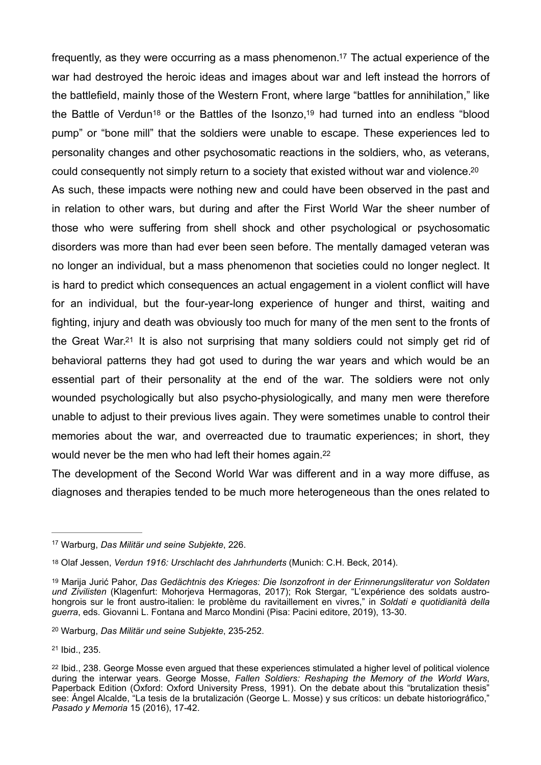<span id="page-4-9"></span><span id="page-4-8"></span><span id="page-4-7"></span><span id="page-4-6"></span>frequently, as they were occurring as a mass phenomenon[.](#page-4-0)<sup>[17](#page-4-0)</sup> The actual experience of the war had destroyed the heroic ideas and images about war and left instead the horrors of the battlefield, mainly those of the Western Front, where large "battles for annihilation," like theBattle of Verdun<sup>18</sup> or the Battles of the Isonzo[,](#page-4-2)<sup>19</sup> had turned into an endless "blood pump" or "bone mill" that the soldiers were unable to escape. These experiences led to personality changes and other psychosomatic reactions in the soldiers, who, as veterans, could consequently not simply return to a society that existed without war and violence[.](#page-4-3)<sup>[20](#page-4-3)</sup> As such, these impacts were nothing new and could have been observed in the past and in relation to other wars, but during and after the First World War the sheer number of those who were suffering from shell shock and other psychological or psychosomatic disorders was more than had ever been seen before. The mentally damaged veteran was no longer an individual, but a mass phenomenon that societies could no longer neglect. It is hard to predict which consequences an actual engagement in a violent conflict will have for an individual, but the four-year-long experience of hunger and thirst, waiting and fighting, injury and death was obviously too much for many of the men sent to the fronts of the Great War[.](#page-4-4)<sup>[21](#page-4-4)</sup> It is also not surprising that many soldiers could not simply get rid of behavioral patterns they had got used to during the war years and which would be an essential part of their personality at the end of the war. The soldiers were not only wounded psychologically but also psycho-physiologically, and many men were therefore unable to adjust to their previous lives again. They were sometimes unable to control their memories about the war, and overreacted due to traumatic experiences; in short, they would never be the men who had left their homes again.<sup>22</sup>

<span id="page-4-11"></span><span id="page-4-10"></span>The development of the Second World War was different and in a way more diffuse, as diagnoses and therapies tended to be much more heterogeneous than the ones related to

<span id="page-4-0"></span>Warburg, *Das Militär und seine Subjekte*, 226. [17](#page-4-6)

<span id="page-4-1"></span><sup>&</sup>lt;sup>[18](#page-4-7)</sup> Olaf Jessen, *Verdun 1916: Urschlacht des Jahrhunderts* (Munich: C.H. Beck, 2014).

<span id="page-4-2"></span><sup>&</sup>lt;sup>[19](#page-4-8)</sup> Marija Jurić Pahor, *Das Gedächtnis des Krieges: Die Isonzofront in der Erinnerungsliteratur von Soldaten und Zivilisten* (Klagenfurt: Mohorjeva Hermagoras, 2017); Rok Stergar, "L'expérience des soldats austrohongrois sur le front austro-italien: le problème du ravitaillement en vivres," in *Soldati e quotidianità della guerra*, eds. Giovanni L. Fontana and Marco Mondini (Pisa: Pacini editore, 2019), 13-30.

<span id="page-4-3"></span><sup>&</sup>lt;sup>[20](#page-4-9)</sup> Warburg, *Das Militär und seine Subjekte*, 235-252.

<span id="page-4-4"></span> $21$  Ibid., 235.

<span id="page-4-5"></span><sup>&</sup>lt;sup>[22](#page-4-11)</sup> Ibid., 238. George Mosse even argued that these experiences stimulated a higher level of political violence during the interwar years. George Mosse, *Fallen Soldiers: Reshaping the Memory of the World Wars*, Paperback Edition (Oxford: Oxford University Press, 1991). On the debate about this "brutalization thesis" see: Ángel Alcalde, "La tesis de la brutalización (George L. Mosse) y sus críticos: un debate historiográfico," *Pasado y Memoria* 15 (2016), 17-42.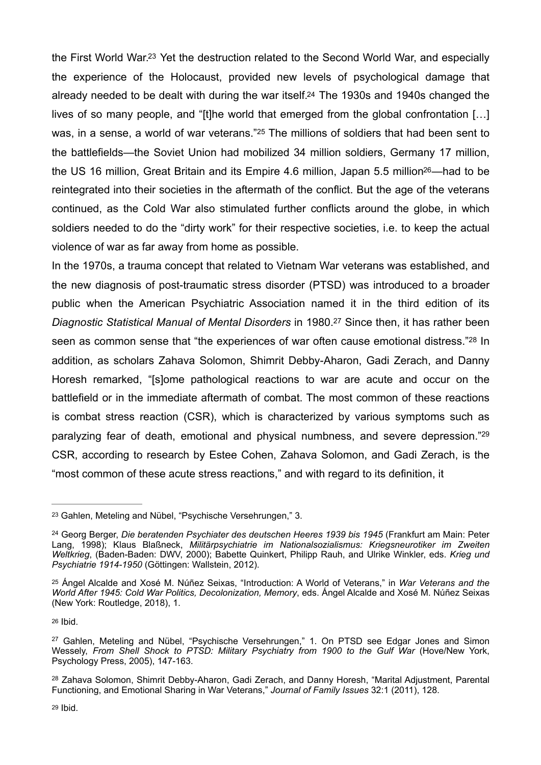<span id="page-5-9"></span><span id="page-5-8"></span><span id="page-5-7"></span>the First World War.<sup>[23](#page-5-0)</sup> Yet the destruction related to the Second World War, and especially the experience of the Holocaust, provided new levels of psychological damage that already needed to be dealt with during the war itself[.24](#page-5-1) The 1930s and 1940s changed the lives of so many people, and "[t]he world that emerged from the global confrontation […] was,in a sense, a world of war veterans."<sup>[25](#page-5-2)</sup> The millions of soldiers that had been sent to the battlefields—the Soviet Union had mobilized 34 million soldiers, Germany 17 million, the US 16 million. Great Britain and its Empire 4.6 million, Japan 5.5 million<sup>[26](#page-5-3)</sup>—had to be reintegrated into their societies in the aftermath of the conflict. But the age of the veterans continued, as the Cold War also stimulated further conflicts around the globe, in which soldiers needed to do the "dirty work" for their respective societies, i.e. to keep the actual violence of war as far away from home as possible.

<span id="page-5-12"></span><span id="page-5-11"></span><span id="page-5-10"></span>In the 1970s, a trauma concept that related to Vietnam War veterans was established, and the new diagnosis of post-traumatic stress disorder (PTSD) was introduced to a broader public when the American Psychiatric Association named it in the third edition of its *Diagnostic Statistical Manual of Mental Disorders* in 1980.<sup>[27](#page-5-4)</sup> Since then, it has rather been seen as common sense that "the experiences of war often cause emotional distress."<sup>[28](#page-5-5)</sup> In addition, as scholars Zahava Solomon, Shimrit Debby-Aharon, Gadi Zerach, and Danny Horesh remarked, "[s]ome pathological reactions to war are acute and occur on the battlefield or in the immediate aftermath of combat. The most common of these reactions is combat stress reaction (CSR), which is characterized by various symptoms such as paralyzing fear of death, emotional and physical numbness, and severe depression.["29](#page-5-6) CSR, according to research by Estee Cohen, Zahava Solomon, and Gadi Zerach, is the "most common of these acute stress reactions," and with regard to its definition, it

<span id="page-5-13"></span><span id="page-5-0"></span><sup>&</sup>lt;sup>[23](#page-5-7)</sup> Gahlen, Meteling and Nübel, "Psychische Versehrungen," 3.

<span id="page-5-1"></span><sup>&</sup>lt;sup>[24](#page-5-8)</sup> Georg Berger, *Die beratenden Psychiater des deutschen Heeres 1939 bis 1945* (Frankfurt am Main: Peter Lang, 1998); Klaus Blaßneck, *Militärpsychiatrie im Nationalsozialismus: Kriegsneurotiker im Zweiten Weltkrieg*, (Baden-Baden: DWV, 2000); Babette Quinkert, Philipp Rauh, and Ulrike Winkler, eds. *Krieg und Psychiatrie 1914-1950* (Göttingen: Wallstein, 2012).

<span id="page-5-2"></span>Ángel Alcalde and Xosé M. Núñez Seixas, "Introduction: A World of Veterans," in *War Veterans and the* [25](#page-5-9) *World After 1945: Cold War Politics, Decolonization, Memory*, eds. Ángel Alcalde and Xosé M. Núñez Seixas (New York: Routledge, 2018), 1.

<span id="page-5-3"></span>[<sup>26</sup>](#page-5-10) Ibid.

<span id="page-5-4"></span><sup>&</sup>lt;sup>[27](#page-5-11)</sup> Gahlen, Meteling and Nübel, "Psychische Versehrungen," 1. On PTSD see Edgar Jones and Simon Wessely, From Shell Shock to PTSD: Military Psychiatry from 1900 to the Gulf War (Hove/New York, Psychology Press, 2005), 147-163.

<span id="page-5-6"></span><span id="page-5-5"></span><sup>&</sup>lt;sup>[28](#page-5-12)</sup> Zahava Solomon, Shimrit Debby-Aharon, Gadi Zerach, and Danny Horesh, "Marital Adjustment, Parental Functioning, and Emotional Sharing in War Veterans," *Journal of Family Issues* 32:1 (2011), 128.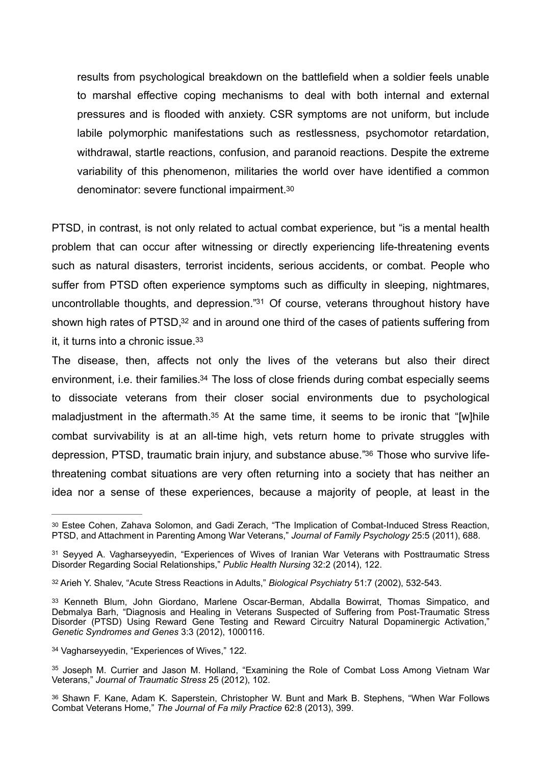<span id="page-6-7"></span>results from psychological breakdown on the battlefield when a soldier feels unable to marshal effective coping mechanisms to deal with both internal and external pressures and is flooded with anxiety. CSR symptoms are not uniform, but include labile polymorphic manifestations such as restlessness, psychomotor retardation, withdrawal, startle reactions, confusion, and paranoid reactions. Despite the extreme variability of this phenomenon, militaries the world over have identified a common denominator: severe functional impairment[.30](#page-6-0)

PTSD, in contrast, is not only related to actual combat experience, but "is a mental health problem that can occur after witnessing or directly experiencing life-threatening events such as natural disasters, terrorist incidents, serious accidents, or combat. People who suffer from PTSD often experience symptoms such as difficulty in sleeping, nightmares, uncontrollable thoughts, and depression.["](#page-6-1)<sup>[31](#page-6-1)</sup> Of course, veterans throughout history have shown high rates of PTSD, $32$  and in around one third of the cases of patients suffering from it, it turns into a chronic issue[.33](#page-6-3)

<span id="page-6-12"></span><span id="page-6-11"></span><span id="page-6-10"></span><span id="page-6-9"></span><span id="page-6-8"></span>The disease, then, affects not only the lives of the veterans but also their direct environment, i[.](#page-6-4)e. their families.<sup>[34](#page-6-4)</sup> The loss of close friends during combat especially seems to dissociate veterans from their closer social environments due to psychological maladjustment in the aftermath[.](#page-6-5)<sup>[35](#page-6-5)</sup> At the same time, it seems to be ironic that "[w]hile combat survivability is at an all-time high, vets return home to private struggles with depression, PTSD, traumatic brain injury, and substance abuse.["](#page-6-6)<sup>36</sup> Those who survive lifethreatening combat situations are very often returning into a society that has neither an idea nor a sense of these experiences, because a majority of people, at least in the

<span id="page-6-4"></span><sup>[34](#page-6-11)</sup> Vagharseyyedin, "Experiences of Wives," 122.

<span id="page-6-6"></span>[36](#page-6-13) Shawn F. Kane, Adam K. Saperstein, Christopher W. Bunt and Mark B. Stephens, "When War Follows Combat Veterans Home," *The Journal of Fa mily Practice* 62:8 (2013), 399.

<span id="page-6-13"></span><span id="page-6-0"></span>[<sup>30</sup>](#page-6-7) Estee Cohen, Zahava Solomon, and Gadi Zerach, "The Implication of Combat-Induced Stress Reaction, PTSD, and Attachment in Parenting Among War Veterans," *Journal of Family Psychology* 25:5 (2011), 688.

<span id="page-6-1"></span><sup>&</sup>lt;sup>[31](#page-6-8)</sup> Seyyed A. Vagharseyyedin, "Experiences of Wives of Iranian War Veterans with Posttraumatic Stress Disorder Regarding Social Relationships," *Public Health Nursing* 32:2 (2014), 122.

<span id="page-6-2"></span><sup>&</sup>lt;sup>[32](#page-6-9)</sup> Arieh Y. Shalev, "Acute Stress Reactions in Adults," *Biological Psychiatry* 51:7 (2002), 532-543.

<span id="page-6-3"></span>[<sup>33</sup>](#page-6-10) Kenneth Blum, John Giordano, Marlene Oscar-Berman, Abdalla Bowirrat, Thomas Simpatico, and Debmalya Barh, "Diagnosis and Healing in Veterans Suspected of Suffering from Post-Traumatic Stress Disorder (PTSD) Using Reward Gene Testing and Reward Circuitry Natural Dopaminergic Activation," *Genetic Syndromes and Genes* 3:3 (2012), 1000116.

<span id="page-6-5"></span>[<sup>35</sup>](#page-6-12) Joseph M. Currier and Jason M. Holland, "Examining the Role of Combat Loss Among Vietnam War Veterans," *Journal of Traumatic Stress* 25 (2012), 102.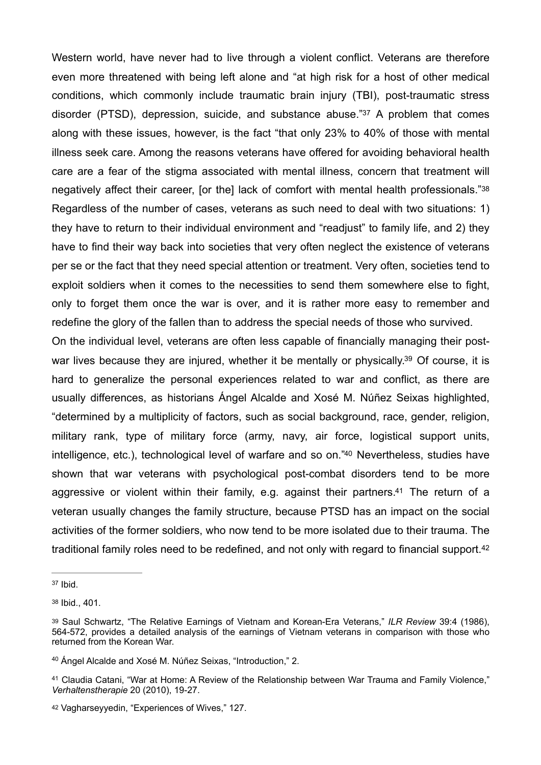<span id="page-7-7"></span><span id="page-7-6"></span>Western world, have never had to live through a violent conflict. Veterans are therefore even more threatened with being left alone and "at high risk for a host of other medical conditions, which commonly include traumatic brain injury (TBI), post-traumatic stress disorder (PTSD), depression, suicide, and substance abuse.["](#page-7-0)<sup>[37](#page-7-0)</sup> A problem that comes along with these issues, however, is the fact "that only 23% to 40% of those with mental illness seek care. Among the reasons veterans have offered for avoiding behavioral health care are a fear of the stigma associated with mental illness, concern that treatment will negatively affect their career, [or the] lack of comfort with mental health professionals.["38](#page-7-1) Regardless of the number of cases, veterans as such need to deal with two situations: 1) they have to return to their individual environment and "readjust" to family life, and 2) they have to find their way back into societies that very often neglect the existence of veterans per se or the fact that they need special attention or treatment. Very often, societies tend to exploit soldiers when it comes to the necessities to send them somewhere else to fight, only to forget them once the war is over, and it is rather more easy to remember and redefine the glory of the fallen than to address the special needs of those who survived.

<span id="page-7-9"></span><span id="page-7-8"></span>On the individual level, veterans are often less capable of financially managing their post-war lives because they are injured, whether it be mentally or physically[.](#page-7-2)<sup>[39](#page-7-2)</sup> Of course, it is hard to generalize the personal experiences related to war and conflict, as there are usually differences, as historians Ángel Alcalde and Xosé M. Núñez Seixas highlighted, "determined by a multiplicity of factors, such as social background, race, gender, religion, military rank, type of military force (army, navy, air force, logistical support units, intelligence, etc.), technological level of warfare and so on.["](#page-7-3)<sup>[40](#page-7-3)</sup> Nevertheless, studies have shown that war veterans with psychological post-combat disorders tend to be more aggressive or violent within their family, e[.](#page-7-4)g. against their partners.<sup>[41](#page-7-4)</sup> The return of a veteran usually changes the family structure, because PTSD has an impact on the social activities of the former soldiers, who now tend to be more isolated due to their trauma. The traditional family roles need to be redefined, and not only with regard to financial support[.42](#page-7-5)

<span id="page-7-11"></span><span id="page-7-10"></span><span id="page-7-0"></span> $37$  Ibid.

<span id="page-7-1"></span>[<sup>38</sup>](#page-7-7) Ibid., 401.

<span id="page-7-2"></span>Saul Schwartz, "The Relative Earnings of Vietnam and Korean-Era Veterans," *ILR Review* 39:4 (1986), [39](#page-7-8) 564-572, provides a detailed analysis of the earnings of Vietnam veterans in comparison with those who returned from the Korean War.

<span id="page-7-3"></span><sup>&</sup>lt;sup>[40](#page-7-9)</sup> Ángel Alcalde and Xosé M. Núñez Seixas, "Introduction," 2.

<span id="page-7-4"></span><sup>&</sup>lt;sup>[41](#page-7-10)</sup> Claudia Catani, "War at Home: A Review of the Relationship between War Trauma and Family Violence," *Verhaltenstherapie* 20 (2010), 19-27.

<span id="page-7-5"></span>[<sup>42</sup>](#page-7-11) Vagharseyyedin, "Experiences of Wives," 127.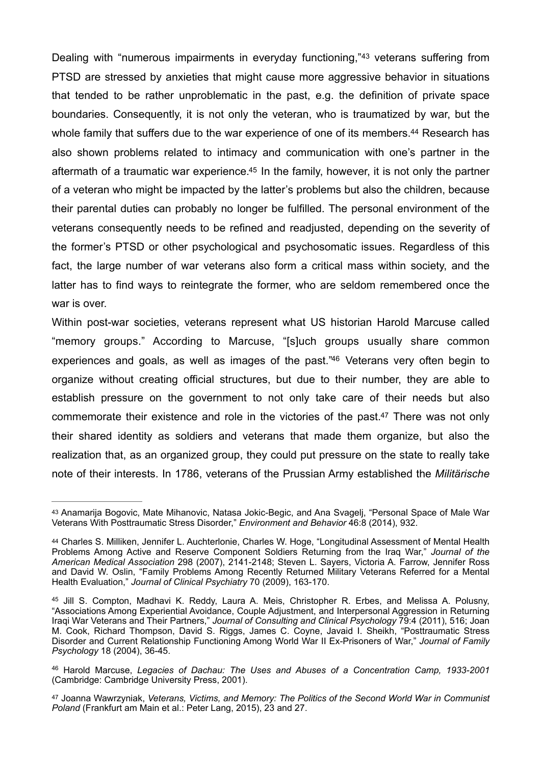<span id="page-8-7"></span><span id="page-8-6"></span><span id="page-8-5"></span>Dealing with "numerous impairments in everyday functioning,"<sup>[43](#page-8-0)</sup> veterans suffering from PTSD are stressed by anxieties that might cause more aggressive behavior in situations that tended to be rather unproblematic in the past, e.g. the definition of private space boundaries. Consequently, it is not only the veteran, who is traumatized by war, but the whole family that suffers due to the war experience of one of its members[.](#page-8-1)<sup>[44](#page-8-1)</sup> Research has also shown problems related to intimacy and communication with one's partner in the aftermath of a traumatic war experience[.](#page-8-2)<sup>[45](#page-8-2)</sup> In the family, however, it is not only the partner of a veteran who might be impacted by the latter's problems but also the children, because their parental duties can probably no longer be fulfilled. The personal environment of the veterans consequently needs to be refined and readjusted, depending on the severity of the former's PTSD or other psychological and psychosomatic issues. Regardless of this fact, the large number of war veterans also form a critical mass within society, and the latter has to find ways to reintegrate the former, who are seldom remembered once the war is over.

<span id="page-8-9"></span><span id="page-8-8"></span>Within post-war societies, veterans represent what US historian Harold Marcuse called "memory groups." According to Marcuse, "[s]uch groups usually share common experiences and goals, as well as images of the past.["](#page-8-3)[46](#page-8-3) Veterans very often begin to organize without creating official structures, but due to their number, they are able to establish pressure on the government to not only take care of their needs but also commemorate their existence and role in the victories of the past[.](#page-8-4)<sup>[47](#page-8-4)</sup> There was not only their shared identity as soldiers and veterans that made them organize, but also the realization that, as an organized group, they could put pressure on the state to really take note of their interests. In 1786, veterans of the Prussian Army established the *Militärische* 

<span id="page-8-0"></span>[<sup>43</sup>](#page-8-5) Anamarija Bogovic, Mate Mihanovic, Natasa Jokic-Begic, and Ana Svageli, "Personal Space of Male War Veterans With Posttraumatic Stress Disorder," *Environment and Behavior* 46:8 (2014), 932.

<span id="page-8-1"></span>[<sup>44</sup>](#page-8-6) Charles S. Milliken, Jennifer L. Auchterlonie, Charles W. Hoge, "Longitudinal Assessment of Mental Health Problems Among Active and Reserve Component Soldiers Returning from the Iraq War," *Journal of the American Medical Association* 298 (2007), 2141-2148; Steven L. Sayers, Victoria A. Farrow, Jennifer Ross and David W. Oslin, "Family Problems Among Recently Returned Military Veterans Referred for a Mental Health Evaluation," *Journal of Clinical Psychiatry* 70 (2009), 163-170.

<span id="page-8-2"></span><sup>&</sup>lt;sup>[45](#page-8-7)</sup> Jill S. Compton, Madhavi K. Reddy, Laura A. Meis, Christopher R. Erbes, and Melissa A. Polusny, "Associations Among Experiential Avoidance, Couple Adjustment, and Interpersonal Aggression in Returning Iraqi War Veterans and Their Partners," *Journal of Consulting and Clinical Psychology* 79:4 (2011), 516; Joan M. Cook, Richard Thompson, David S. Riggs, James C. Coyne, Javaid I. Sheikh, "Posttraumatic Stress Disorder and Current Relationship Functioning Among World War II Ex-Prisoners of War," *Journal of Family Psychology* 18 (2004), 36-45.

<span id="page-8-3"></span><sup>&</sup>lt;sup>[46](#page-8-8)</sup> Harold Marcuse, *Legacies of Dachau: The Uses and Abuses of a Concentration Camp, 1933-2001* (Cambridge: Cambridge University Press, 2001).

<span id="page-8-4"></span>Joanna Wawrzyniak, *Veterans, Victims, and Memory: The Politics of the Second World War in Communist* [47](#page-8-9) *Poland* (Frankfurt am Main et al.: Peter Lang, 2015), 23 and 27.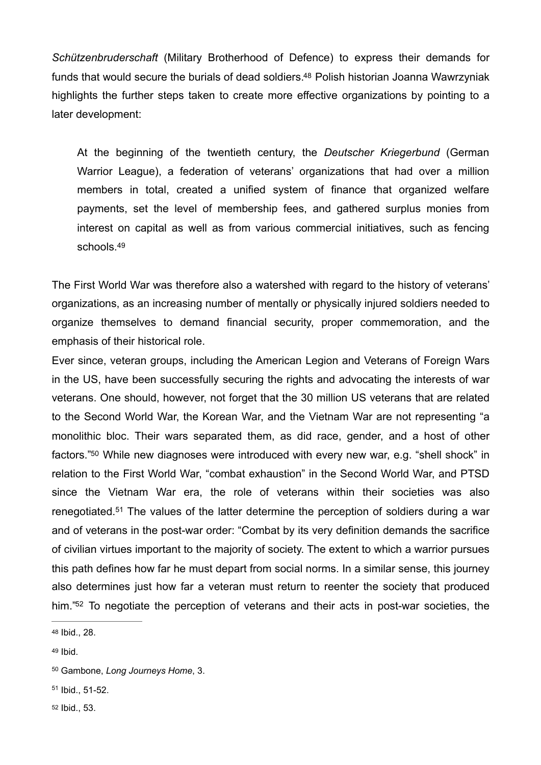*Schützenbruderschaft* (Military Brotherhood of Defence) to express their demands for funds that would secure the burials of dead soldiers[.](#page-9-0)<sup>[48](#page-9-0)</sup> Polish historian Joanna Wawrzyniak highlights the further steps taken to create more effective organizations by pointing to a later development:

<span id="page-9-5"></span>At the beginning of the twentieth century, the *Deutscher Kriegerbund* (German Warrior League), a federation of veterans' organizations that had over a million members in total, created a unified system of finance that organized welfare payments, set the level of membership fees, and gathered surplus monies from interest on capital as well as from various commercial initiatives, such as fencing schools.<sup>49</sup>

<span id="page-9-6"></span>The First World War was therefore also a watershed with regard to the history of veterans' organizations, as an increasing number of mentally or physically injured soldiers needed to organize themselves to demand financial security, proper commemoration, and the emphasis of their historical role.

<span id="page-9-7"></span>Ever since, veteran groups, including the American Legion and Veterans of Foreign Wars in the US, have been successfully securing the rights and advocating the interests of war veterans. One should, however, not forget that the 30 million US veterans that are related to the Second World War, the Korean War, and the Vietnam War are not representing "a monolithic bloc. Their wars separated them, as did race, gender, and a host of other factors.["](#page-9-2)<sup>[50](#page-9-2)</sup> While new diagnoses were introduced with every new war, e.g. "shell shock" in relation to the First World War, "combat exhaustion" in the Second World War, and PTSD since the Vietnam War era, the role of veterans within their societies was also renegotiated.<sup>[51](#page-9-3)</sup> The values of the latter determine the perception of soldiers during a war and of veterans in the post-war order: "Combat by its very definition demands the sacrifice of civilian virtues important to the majority of society. The extent to which a warrior pursues this path defines how far he must depart from social norms. In a similar sense, this journey also determines just how far a veteran must return to reenter the society that produced him.["](#page-9-4)<sup>[52](#page-9-4)</sup> To negotiate the perception of veterans and their acts in post-war societies, the

- <span id="page-9-3"></span> $51$  Ibid.,  $51-52$ .
- <span id="page-9-4"></span>[52](#page-9-9) Ibid., 53.

<span id="page-9-9"></span><span id="page-9-8"></span><span id="page-9-0"></span>[<sup>48</sup>](#page-9-5) Ibid., 28.

<span id="page-9-1"></span>[<sup>49</sup>](#page-9-6) Ibid.

<span id="page-9-2"></span><sup>&</sup>lt;sup>[50](#page-9-7)</sup> Gambone, *Long Journeys Home*, 3.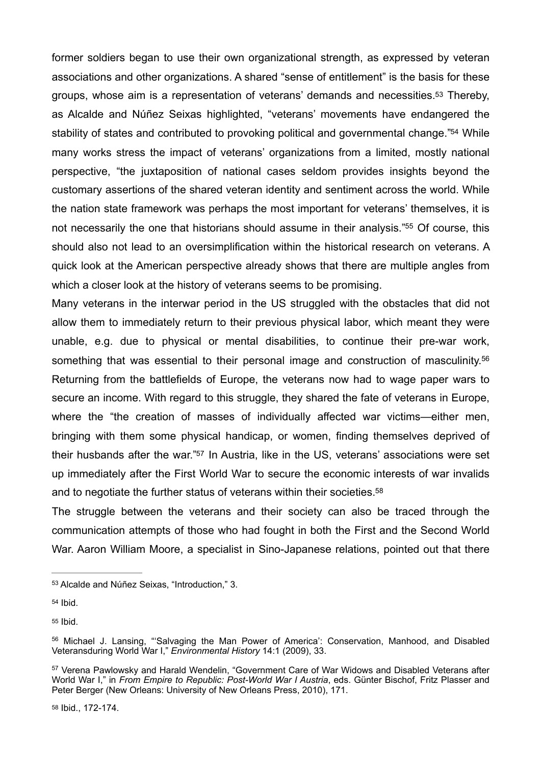<span id="page-10-7"></span><span id="page-10-6"></span>former soldiers began to use their own organizational strength, as expressed by veteran associations and other organizations. A shared "sense of entitlement" is the basis for these groups, whose aim is a representation of veterans' demands and necessities[.53](#page-10-0) Thereby, as Alcalde and Núñez Seixas highlighted, "veterans' movements have endangered the stability of states and contributed to provoking political and governmental change.["](#page-10-1)<sup>[54](#page-10-1)</sup> While many works stress the impact of veterans' organizations from a limited, mostly national perspective, "the juxtaposition of national cases seldom provides insights beyond the customary assertions of the shared veteran identity and sentiment across the world. While the nation state framework was perhaps the most important for veterans' themselves, it is not necessarily the one that historians should assume in their analysis.["](#page-10-2)<sup>[55](#page-10-2)</sup> Of course, this should also not lead to an oversimplification within the historical research on veterans. A quick look at the American perspective already shows that there are multiple angles from which a closer look at the history of veterans seems to be promising.

<span id="page-10-9"></span><span id="page-10-8"></span>Many veterans in the interwar period in the US struggled with the obstacles that did not allow them to immediately return to their previous physical labor, which meant they were unable, e.g. due to physical or mental disabilities, to continue their pre-war work, something that was essential to their personal image and construction of masculinity.<sup>56</sup> Returning from the battlefields of Europe, the veterans now had to wage paper wars to secure an income. With regard to this struggle, they shared the fate of veterans in Europe, where the "the creation of masses of individually affected war victims—either men, bringing with them some physical handicap, or women, finding themselves deprived of their husbands after the war.["](#page-10-4)<sup>[57](#page-10-4)</sup> In Austria, like in the US, veterans' associations were set up immediately after the First World War to secure the economic interests of war invalids and to negotiate the further status of veterans within their societies[.](#page-10-5) [58](#page-10-5)

<span id="page-10-11"></span><span id="page-10-10"></span>The struggle between the veterans and their society can also be traced through the communication attempts of those who had fought in both the First and the Second World War. Aaron William Moore, a specialist in Sino-Japanese relations, pointed out that there

<span id="page-10-1"></span> $54$  Ibid.

<span id="page-10-2"></span>[55](#page-10-8) Ibid.

<span id="page-10-5"></span>[58](#page-10-11) Ibid., 172-174.

<span id="page-10-0"></span>[<sup>53</sup>](#page-10-6) Alcalde and Núñez Seixas, "Introduction," 3.

<span id="page-10-3"></span>[<sup>56</sup>](#page-10-9) Michael J. Lansing, "'Salvaging the Man Power of America': Conservation, Manhood, and Disabled Veteransduring World War I," *Environmental History* 14:1 (2009), 33.

<span id="page-10-4"></span><sup>&</sup>lt;sup>[57](#page-10-10)</sup> Verena Pawlowsky and Harald Wendelin, "Government Care of War Widows and Disabled Veterans after World War I," in *From Empire to Republic: Post-World War I Austria*, eds. Günter Bischof, Fritz Plasser and Peter Berger (New Orleans: University of New Orleans Press, 2010), 171.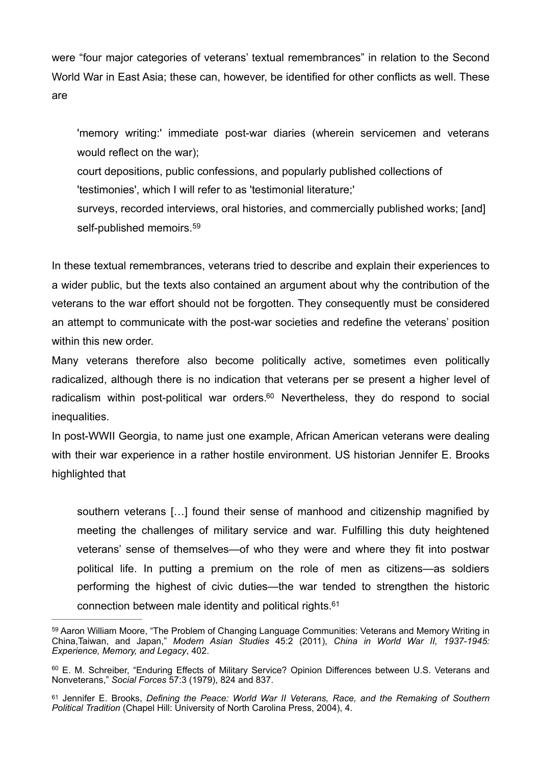were "four major categories of veterans' textual remembrances" in relation to the Second World War in East Asia; these can, however, be identified for other conflicts as well. These are

'memory writing:' immediate post-war diaries (wherein servicemen and veterans would reflect on the war);

court depositions, public confessions, and popularly published collections of 'testimonies', which I will refer to as 'testimonial literature;'

<span id="page-11-3"></span>surveys, recorded interviews, oral histories, and commercially published works; [and] self-published memoirs.<sup>[59](#page-11-0)</sup>

In these textual remembrances, veterans tried to describe and explain their experiences to a wider public, but the texts also contained an argument about why the contribution of the veterans to the war effort should not be forgotten. They consequently must be considered an attempt to communicate with the post-war societies and redefine the veterans' position within this new order.

<span id="page-11-4"></span>Many veterans therefore also become politically active, sometimes even politically radicalized, although there is no indication that veterans per se present a higher level of radicalism within post-political war orders[.](#page-11-1) $60$  Nevertheless, they do respond to social inequalities.

In post-WWII Georgia, to name just one example, African American veterans were dealing with their war experience in a rather hostile environment. US historian Jennifer E. Brooks highlighted that

<span id="page-11-5"></span>southern veterans […] found their sense of manhood and citizenship magnified by meeting the challenges of military service and war. Fulfilling this duty heightened veterans' sense of themselves—of who they were and where they fit into postwar political life. In putting a premium on the role of men as citizens—as soldiers performing the highest of civic duties—the war tended to strengthen the historic connection between male identity and political rights[.61](#page-11-2)

<span id="page-11-0"></span>[<sup>59</sup>](#page-11-3) Aaron William Moore, "The Problem of Changing Language Communities: Veterans and Memory Writing in China,Taiwan, and Japan," *Modern Asian Studies* 45:2 (2011), *China in World War II, 1937-1945: Experience, Memory, and Legacy*, 402.

<span id="page-11-1"></span>[<sup>60</sup>](#page-11-4) E. M. Schreiber, "Enduring Effects of Military Service? Opinion Differences between U.S. Veterans and Nonveterans," *Social Forces* 57:3 (1979), 824 and 837.

<span id="page-11-2"></span>[<sup>61</sup>](#page-11-5) Jennifer E. Brooks, *Defining the Peace: World War II Veterans, Race, and the Remaking of Southern Political Tradition* (Chapel Hill: University of North Carolina Press, 2004), 4.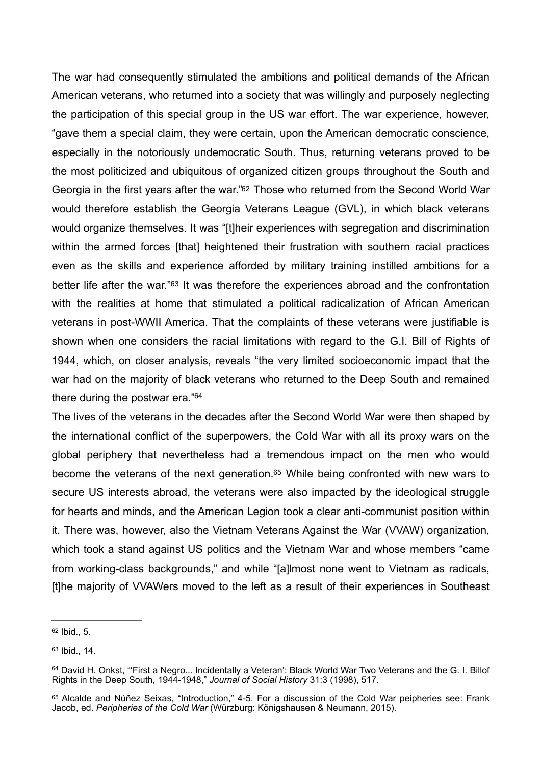<span id="page-12-4"></span>The war had consequently stimulated the ambitions and political demands of the African American veterans, who returned into a society that was willingly and purposely neglecting the participation of this special group in the US war effort. The war experience, however, "gave them a special claim, they were certain, upon the American democratic conscience, especially in the notoriously undemocratic South. Thus, returning veterans proved to be the most politicized and ubiquitous of organized citizen groups throughout the South and Georgia in the first years after the war.["62](#page-12-0) Those who returned from the Second World War would therefore establish the Georgia Veterans League (GVL), in which black veterans would organize themselves. It was "[t]heir experiences with segregation and discrimination within the armed forces [that] heightened their frustration with southern racial practices even as the skills and experience afforded by military training instilled ambitions for a better life after the war."<sup>[63](#page-12-1)</sup> It was therefore the experiences abroad and the confrontation with the realities at home that stimulated a political radicalization of African American veterans in post-WWII America. That the complaints of these veterans were justifiable is shown when one considers the racial limitations with regard to the G.I. Bill of Rights of 1944, which, on closer analysis, reveals "the very limited socioeconomic impact that the war had on the majority of black veterans who returned to the Deep South and remained there during the postwar era.["64](#page-12-2)

<span id="page-12-7"></span><span id="page-12-6"></span><span id="page-12-5"></span>The lives of the veterans in the decades after the Second World War were then shaped by the international conflict of the superpowers, the Cold War with all its proxy wars on the global periphery that nevertheless had a tremendous impact on the men who would become the veterans of the next generation.<sup>[65](#page-12-3)</sup> While being confronted with new wars to secure US interests abroad, the veterans were also impacted by the ideological struggle for hearts and minds, and the American Legion took a clear anti-communist position within it. There was, however, also the Vietnam Veterans Against the War (VVAW) organization, which took a stand against US politics and the Vietnam War and whose members "came from working-class backgrounds," and while "[a]lmost none went to Vietnam as radicals, [t]he majority of VVAWers moved to the left as a result of their experiences in Southeast

<span id="page-12-0"></span> $62$  Ibid., 5.

<span id="page-12-1"></span> $63$  Ibid., 14.

<span id="page-12-2"></span>[<sup>64</sup>](#page-12-6) David H. Onkst, "First a Negro... Incidentally a Veteran': Black World War Two Veterans and the G. I. Billof Rights in the Deep South, 1944-1948," *Journal of Social History* 31:3 (1998), 517.

<span id="page-12-3"></span>[<sup>65</sup>](#page-12-7) Alcalde and Núñez Seixas, "Introduction," 4-5. For a discussion of the Cold War peipheries see: Frank Jacob, ed. *Peripheries of the Cold War* (Würzburg: Königshausen & Neumann, 2015).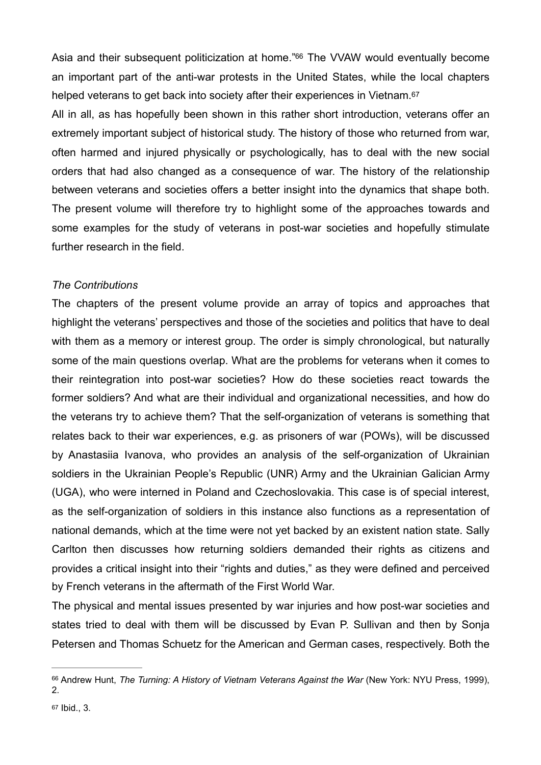<span id="page-13-2"></span>Asia and their subsequent politicization at home.<sup>["](#page-13-0)[66](#page-13-0)</sup> The VVAW would eventually become an important part of the anti-war protests in the United States, while the local chapters helped veterans to get back into society after their experiences in Vietnam.<sup>67</sup>

<span id="page-13-3"></span>All in all, as has hopefully been shown in this rather short introduction, veterans offer an extremely important subject of historical study. The history of those who returned from war, often harmed and injured physically or psychologically, has to deal with the new social orders that had also changed as a consequence of war. The history of the relationship between veterans and societies offers a better insight into the dynamics that shape both. The present volume will therefore try to highlight some of the approaches towards and some examples for the study of veterans in post-war societies and hopefully stimulate further research in the field.

## *The Contributions*

The chapters of the present volume provide an array of topics and approaches that highlight the veterans' perspectives and those of the societies and politics that have to deal with them as a memory or interest group. The order is simply chronological, but naturally some of the main questions overlap. What are the problems for veterans when it comes to their reintegration into post-war societies? How do these societies react towards the former soldiers? And what are their individual and organizational necessities, and how do the veterans try to achieve them? That the self-organization of veterans is something that relates back to their war experiences, e.g. as prisoners of war (POWs), will be discussed by Anastasiia Ivanova, who provides an analysis of the self-organization of Ukrainian soldiers in the Ukrainian People's Republic (UNR) Army and the Ukrainian Galician Army (UGA), who were interned in Poland and Czechoslovakia. This case is of special interest, as the self-organization of soldiers in this instance also functions as a representation of national demands, which at the time were not yet backed by an existent nation state. Sally Carlton then discusses how returning soldiers demanded their rights as citizens and provides a critical insight into their "rights and duties," as they were defined and perceived by French veterans in the aftermath of the First World War.

The physical and mental issues presented by war injuries and how post-war societies and states tried to deal with them will be discussed by Evan P. Sullivan and then by Sonja Petersen and Thomas Schuetz for the American and German cases, respectively. Both the

<span id="page-13-1"></span><span id="page-13-0"></span><sup>&</sup>lt;sup>[66](#page-13-2)</sup> Andrew Hunt, *The Turning: A History of Vietnam Veterans Against the War* (New York: NYU Press, 1999), 2.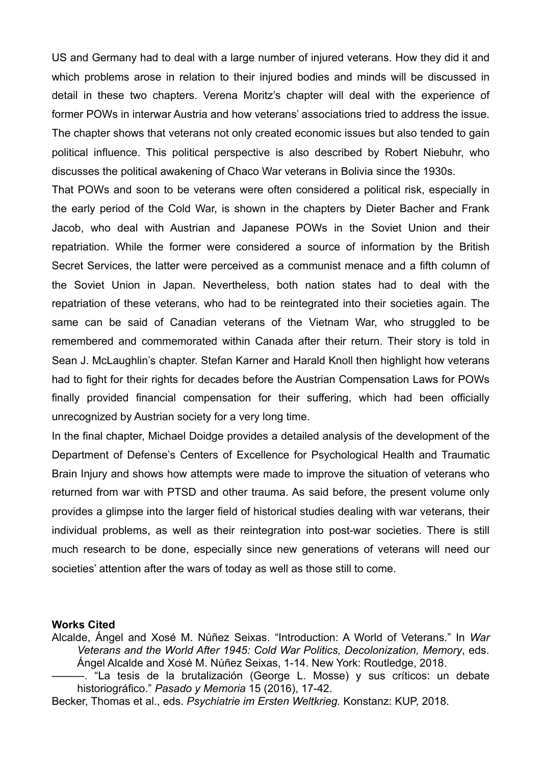US and Germany had to deal with a large number of injured veterans. How they did it and which problems arose in relation to their injured bodies and minds will be discussed in detail in these two chapters. Verena Moritz's chapter will deal with the experience of former POWs in interwar Austria and how veterans' associations tried to address the issue. The chapter shows that veterans not only created economic issues but also tended to gain political influence. This political perspective is also described by Robert Niebuhr, who discusses the political awakening of Chaco War veterans in Bolivia since the 1930s.

That POWs and soon to be veterans were often considered a political risk, especially in the early period of the Cold War, is shown in the chapters by Dieter Bacher and Frank Jacob, who deal with Austrian and Japanese POWs in the Soviet Union and their repatriation. While the former were considered a source of information by the British Secret Services, the latter were perceived as a communist menace and a fifth column of the Soviet Union in Japan. Nevertheless, both nation states had to deal with the repatriation of these veterans, who had to be reintegrated into their societies again. The same can be said of Canadian veterans of the Vietnam War, who struggled to be remembered and commemorated within Canada after their return. Their story is told in Sean J. McLaughlin's chapter. Stefan Karner and Harald Knoll then highlight how veterans had to fight for their rights for decades before the Austrian Compensation Laws for POWs finally provided financial compensation for their suffering, which had been officially unrecognized by Austrian society for a very long time.

In the final chapter, Michael Doidge provides a detailed analysis of the development of the Department of Defense's Centers of Excellence for Psychological Health and Traumatic Brain Injury and shows how attempts were made to improve the situation of veterans who returned from war with PTSD and other trauma. As said before, the present volume only provides a glimpse into the larger field of historical studies dealing with war veterans, their individual problems, as well as their reintegration into post-war societies. There is still much research to be done, especially since new generations of veterans will need our societies' attention after the wars of today as well as those still to come.

## **Works Cited**

Alcalde, Ángel and Xosé M. Núñez Seixas. "Introduction: A World of Veterans." In *War Veterans and the World After 1945: Cold War Politics, Decolonization, Memory*, eds. Ángel Alcalde and Xosé M. Núñez Seixas, 1-14. New York: Routledge, 2018.

———. "La tesis de la brutalización (George L. Mosse) y sus críticos: un debate historiográfico." *Pasado y Memoria* 15 (2016), 17-42.

Becker, Thomas et al., eds. *Psychiatrie im Ersten Weltkrieg.* Konstanz: KUP, 2018.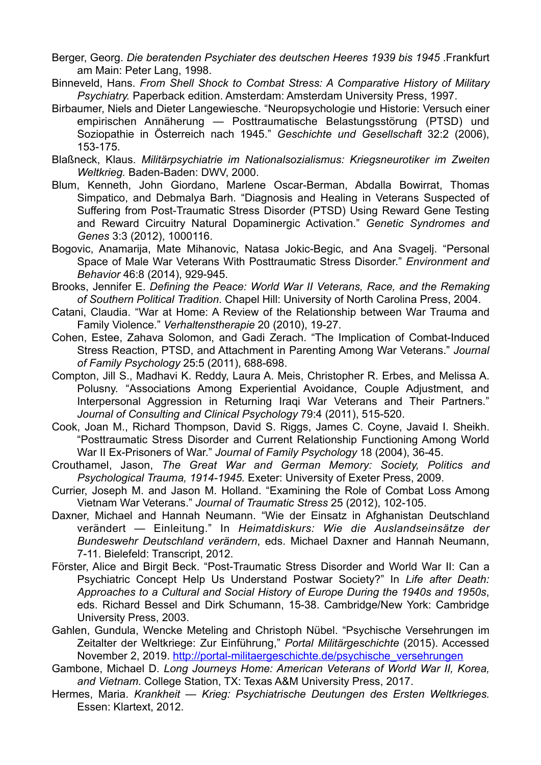- Berger, Georg. *Die beratenden Psychiater des deutschen Heeres 1939 bis 1945* .Frankfurt am Main: Peter Lang, 1998.
- Binneveld, Hans. *From Shell Shock to Combat Stress: A Comparative History of Military Psychiatry.* Paperback edition. Amsterdam: Amsterdam University Press, 1997.
- Birbaumer, Niels and Dieter Langewiesche. "Neuropsychologie und Historie: Versuch einer empirischen Annäherung — Posttraumatische Belastungsstörung (PTSD) und Soziopathie in Österreich nach 1945." *Geschichte und Gesellschaft* 32:2 (2006), 153-175.
- Blaßneck, Klaus. *Militärpsychiatrie im Nationalsozialismus: Kriegsneurotiker im Zweiten Weltkrieg.* Baden-Baden: DWV, 2000.
- Blum, Kenneth, John Giordano, Marlene Oscar-Berman, Abdalla Bowirrat, Thomas Simpatico, and Debmalya Barh. "Diagnosis and Healing in Veterans Suspected of Suffering from Post-Traumatic Stress Disorder (PTSD) Using Reward Gene Testing and Reward Circuitry Natural Dopaminergic Activation." *Genetic Syndromes and Genes* 3:3 (2012), 1000116.
- Bogovic, Anamarija, Mate Mihanovic, Natasa Jokic-Begic, and Ana Svagelj. "Personal Space of Male War Veterans With Posttraumatic Stress Disorder." *Environment and Behavior* 46:8 (2014), 929-945.
- Brooks, Jennifer E. *Defining the Peace: World War II Veterans, Race, and the Remaking of Southern Political Tradition*. Chapel Hill: University of North Carolina Press, 2004.
- Catani, Claudia. "War at Home: A Review of the Relationship between War Trauma and Family Violence." *Verhaltenstherapie* 20 (2010), 19-27.
- Cohen, Estee, Zahava Solomon, and Gadi Zerach. "The Implication of Combat-Induced Stress Reaction, PTSD, and Attachment in Parenting Among War Veterans." *Journal of Family Psychology* 25:5 (2011), 688-698.
- Compton, Jill S., Madhavi K. Reddy, Laura A. Meis, Christopher R. Erbes, and Melissa A. Polusny. "Associations Among Experiential Avoidance, Couple Adjustment, and Interpersonal Aggression in Returning Iraqi War Veterans and Their Partners." *Journal of Consulting and Clinical Psychology* 79:4 (2011), 515-520.
- Cook, Joan M., Richard Thompson, David S. Riggs, James C. Coyne, Javaid I. Sheikh. "Posttraumatic Stress Disorder and Current Relationship Functioning Among World War II Ex-Prisoners of War." *Journal of Family Psychology* 18 (2004), 36-45.
- Crouthamel, Jason, *The Great War and German Memory: Society, Politics and Psychological Trauma, 1914-1945.* Exeter: University of Exeter Press, 2009.
- Currier, Joseph M. and Jason M. Holland. "Examining the Role of Combat Loss Among Vietnam War Veterans." *Journal of Traumatic Stress* 25 (2012), 102-105.
- Daxner, Michael and Hannah Neumann. "Wie der Einsatz in Afghanistan Deutschland verändert — Einleitung." In *Heimatdiskurs: Wie die Auslandseinsätze der Bundeswehr Deutschland verändern*, eds. Michael Daxner and Hannah Neumann, 7-11. Bielefeld: Transcript, 2012.
- Förster, Alice and Birgit Beck. "Post-Traumatic Stress Disorder and World War II: Can a Psychiatric Concept Help Us Understand Postwar Society?" In *Life after Death: Approaches to a Cultural and Social History of Europe During the 1940s and 1950s*, eds. Richard Bessel and Dirk Schumann, 15-38. Cambridge/New York: Cambridge University Press, 2003.
- Gahlen, Gundula, Wencke Meteling and Christoph Nübel. "Psychische Versehrungen im Zeitalter der Weltkriege: Zur Einführung," *Portal Militärgeschichte* (2015). Accessed November 2, 2019. http://portal-militaergeschichte.de/psychische\_versehrungen
- Gambone, Michael D. *Long Journeys Home: American Veterans of World War II, Korea, and Vietnam*. College Station, TX: Texas A&M University Press, 2017.
- Hermes, Maria. *Krankheit Krieg: Psychiatrische Deutungen des Ersten Weltkrieges.*  Essen: Klartext, 2012.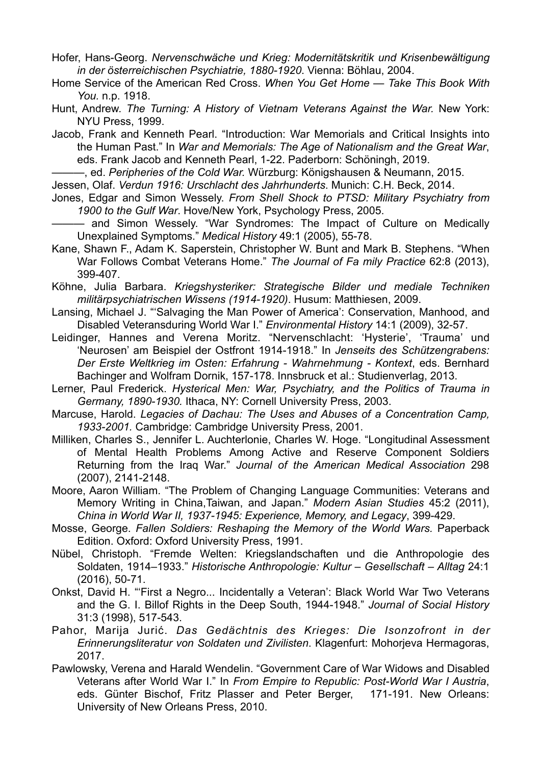Hofer, Hans-Georg. *Nervenschwäche und Krieg: Modernitätskritik und Krisenbewältigung in der österreichischen Psychiatrie, 1880-1920*. Vienna: Böhlau, 2004.

Home Service of the American Red Cross. *When You Get Home — Take This Book With You.* n.p. 1918.

Hunt, Andrew. *The Turning: A History of Vietnam Veterans Against the War.* New York: NYU Press, 1999.

Jacob, Frank and Kenneth Pearl. "Introduction: War Memorials and Critical Insights into the Human Past." In *War and Memorials: The Age of Nationalism and the Great War*, eds. Frank Jacob and Kenneth Pearl, 1-22. Paderborn: Schöningh, 2019.

———, ed. *Peripheries of the Cold War.* Würzburg: Königshausen & Neumann, 2015.

Jessen, Olaf. *Verdun 1916: Urschlacht des Jahrhunderts*. Munich: C.H. Beck, 2014.

Jones, Edgar and Simon Wessely. *From Shell Shock to PTSD: Military Psychiatry from 1900 to the Gulf War*. Hove/New York, Psychology Press, 2005.

——— and Simon Wessely. "War Syndromes: The Impact of Culture on Medically Unexplained Symptoms." *Medical History* 49:1 (2005), 55-78.

Kane, Shawn F., Adam K. Saperstein, Christopher W. Bunt and Mark B. Stephens. "When War Follows Combat Veterans Home." *The Journal of Fa mily Practice* 62:8 (2013), 399-407.

Köhne, Julia Barbara. *Kriegshysteriker: Strategische Bilder und mediale Techniken militärpsychiatrischen Wissens (1914-1920)*. Husum: Matthiesen, 2009.

Lansing, Michael J. "'Salvaging the Man Power of America': Conservation, Manhood, and Disabled Veteransduring World War I." *Environmental History* 14:1 (2009), 32-57.

- Leidinger, Hannes and Verena Moritz. "Nervenschlacht: 'Hysterie', 'Trauma' und 'Neurosen' am Beispiel der Ostfront 1914-1918." In *Jenseits des Schützengrabens: Der Erste Weltkrieg im Osten: Erfahrung - Wahrnehmung - Kontext*, eds. Bernhard Bachinger and Wolfram Dornik, 157-178. Innsbruck et al.: Studienverlag, 2013.
- Lerner, Paul Frederick. *Hysterical Men: War, Psychiatry, and the Politics of Trauma in Germany, 1890-1930.* Ithaca, NY: Cornell University Press, 2003.
- Marcuse, Harold. *Legacies of Dachau: The Uses and Abuses of a Concentration Camp, 1933-2001.* Cambridge: Cambridge University Press, 2001.
- Milliken, Charles S., Jennifer L. Auchterlonie, Charles W. Hoge. "Longitudinal Assessment of Mental Health Problems Among Active and Reserve Component Soldiers Returning from the Iraq War." *Journal of the American Medical Association* 298 (2007), 2141-2148.
- Moore, Aaron William. "The Problem of Changing Language Communities: Veterans and Memory Writing in China,Taiwan, and Japan." *Modern Asian Studies* 45:2 (2011), *China in World War II, 1937-1945: Experience, Memory, and Legacy*, 399-429.
- Mosse, George. *Fallen Soldiers: Reshaping the Memory of the World Wars.* Paperback Edition. Oxford: Oxford University Press, 1991.

Nübel, Christoph. "Fremde Welten: Kriegslandschaften und die Anthropologie des Soldaten, 1914–1933." *Historische Anthropologie: Kultur – Gesellschaft – Alltag* 24:1 (2016), 50-71.

Onkst, David H. "'First a Negro... Incidentally a Veteran': Black World War Two Veterans and the G. I. Billof Rights in the Deep South, 1944-1948." *Journal of Social History* 31:3 (1998), 517-543.

Pahor, Marija Jurić. *Das Gedächtnis des Krieges: Die Isonzofront in der Erinnerungsliteratur von Soldaten und Zivilisten*. Klagenfurt: Mohorjeva Hermagoras, 2017.

Pawlowsky, Verena and Harald Wendelin. "Government Care of War Widows and Disabled Veterans after World War I." In *From Empire to Republic: Post-World War I Austria*, eds. Günter Bischof, Fritz Plasser and Peter Berger, 171-191. New Orleans: University of New Orleans Press, 2010.